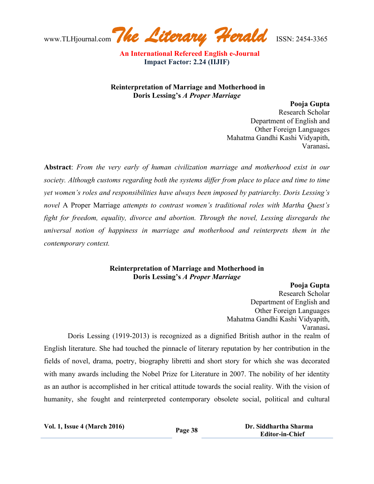www.TLHjournal.com*The Literary Herald*ISSN: 2454-3365

**Reinterpretation of Marriage and Motherhood in Doris Lessing's** *A Proper Marriage*

**Pooja Gupta** 

Research Scholar Department of English and Other Foreign Languages Mahatma Gandhi Kashi Vidyapith, Varanasi**.** 

**Abstract**: *From the very early of human civilization marriage and motherhood exist in our society. Although customs regarding both the systems differ from place to place and time to time yet women's roles and responsibilities have always been imposed by patriarchy. Doris Lessing's novel* A Proper Marriage *attempts to contrast women's traditional roles with Martha Quest's fight for freedom, equality, divorce and abortion. Through the novel, Lessing disregards the universal notion of happiness in marriage and motherhood and reinterprets them in the contemporary context.*

## **Reinterpretation of Marriage and Motherhood in Doris Lessing's** *A Proper Marriage*

## **Pooja Gupta**

Research Scholar Department of English and Other Foreign Languages Mahatma Gandhi Kashi Vidyapith, Varanasi**.** 

 Doris Lessing (1919-2013) is recognized as a dignified British author in the realm of English literature. She had touched the pinnacle of literary reputation by her contribution in the fields of novel, drama, poetry, biography libretti and short story for which she was decorated with many awards including the Nobel Prize for Literature in 2007. The nobility of her identity as an author is accomplished in her critical attitude towards the social reality. With the vision of humanity, she fought and reinterpreted contemporary obsolete social, political and cultural

**Vol. 1, Issue <sup>4</sup> (March 2016) Page <sup>38</sup> Dr. Siddhartha Sharma Editor-in-Chief**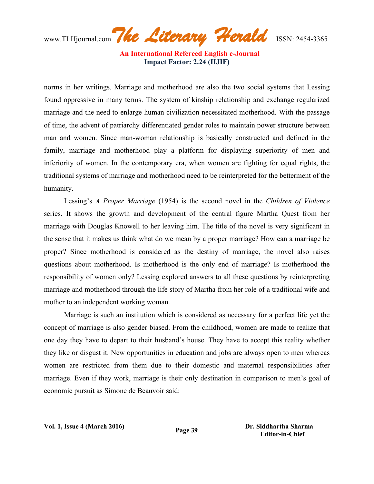www.TLHjournal.com*The Literary Herald*ISSN: 2454-3365

norms in her writings. Marriage and motherhood are also the two social systems that Lessing found oppressive in many terms. The system of kinship relationship and exchange regularized marriage and the need to enlarge human civilization necessitated motherhood. With the passage of time, the advent of patriarchy differentiated gender roles to maintain power structure between man and women. Since man-woman relationship is basically constructed and defined in the family, marriage and motherhood play a platform for displaying superiority of men and inferiority of women. In the contemporary era, when women are fighting for equal rights, the traditional systems of marriage and motherhood need to be reinterpreted for the betterment of the humanity.

 Lessing's *A Proper Marriage* (1954) is the second novel in the *Children of Violence* series. It shows the growth and development of the central figure Martha Quest from her marriage with Douglas Knowell to her leaving him. The title of the novel is very significant in the sense that it makes us think what do we mean by a proper marriage? How can a marriage be proper? Since motherhood is considered as the destiny of marriage, the novel also raises questions about motherhood. Is motherhood is the only end of marriage? Is motherhood the responsibility of women only? Lessing explored answers to all these questions by reinterpreting marriage and motherhood through the life story of Martha from her role of a traditional wife and mother to an independent working woman.

 Marriage is such an institution which is considered as necessary for a perfect life yet the concept of marriage is also gender biased. From the childhood, women are made to realize that one day they have to depart to their husband's house. They have to accept this reality whether they like or disgust it. New opportunities in education and jobs are always open to men whereas women are restricted from them due to their domestic and maternal responsibilities after marriage. Even if they work, marriage is their only destination in comparison to men's goal of economic pursuit as Simone de Beauvoir said: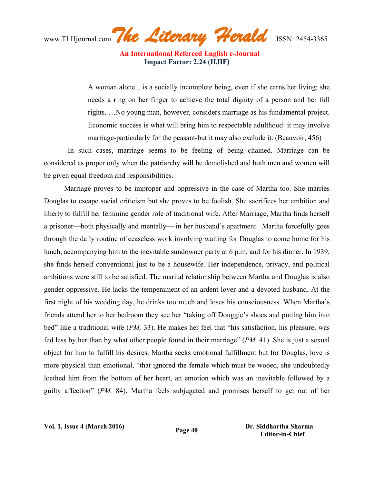www.TLHjournal.com*The Literary Herald*ISSN: 2454-3365

A woman alone…is a socially incomplete being, even if she earns her living; she needs a ring on her finger to achieve the total dignity of a person and her full rights. …No young man, however, considers marriage as his fundamental project. Economic success is what will bring him to respectable adulthood: it may involve marriage-particularly for the peasant-but it may also exclude it. (Beauvoir, 456)

 In such cases, marriage seems to be feeling of being chained. Marriage can be considered as proper only when the patriarchy will be demolished and both men and women will be given equal freedom and responsibilities.

 Marriage proves to be improper and oppressive in the case of Martha too. She marries Douglas to escape social criticism but she proves to be foolish. She sacrifices her ambition and liberty to fulfill her feminine gender role of traditional wife. After Marriage, Martha finds herself a prisoner—both physically and mentally— in her husband's apartment. Martha forcefully goes through the daily routine of ceaseless work involving waiting for Douglas to come home for his lunch, accompanying him to the inevitable sundowner party at 6 p.m. and for his dinner. In 1939, she finds herself conventional just to be a housewife. Her independence, privacy, and political ambitions were still to be satisfied. The marital relationship between Martha and Douglas is also gender oppressive. He lacks the temperament of an ardent lover and a devoted husband. At the first night of his wedding day, he drinks too much and loses his consciousness. When Martha's friends attend her to her bedroom they see her "taking off Douggie's shoes and putting him into bed" like a traditional wife (*PM,* 33). He makes her feel that "his satisfaction, his pleasure, was fed less by her than by what other people found in their marriage" (*PM,* 41). She is just a sexual object for him to fulfill his desires. Martha seeks emotional fulfillment but for Douglas, love is more physical than emotional, "that ignored the female which must be wooed, she undoubtedly loathed him from the bottom of her heart, an emotion which was an inevitable followed by a guilty affection" (*PM,* 84). Martha feels subjugated and promises herself to get out of her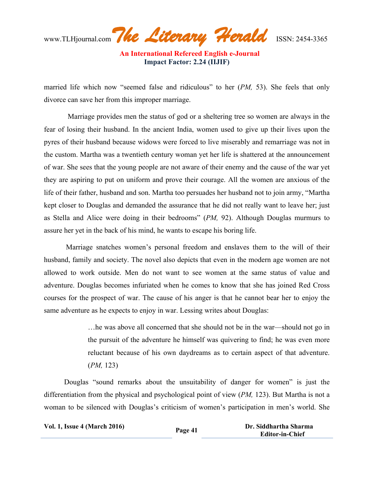www.TLHjournal.com*The Literary Herald*ISSN: 2454-3365

married life which now "seemed false and ridiculous" to her (*PM,* 53). She feels that only divorce can save her from this improper marriage.

 Marriage provides men the status of god or a sheltering tree so women are always in the fear of losing their husband. In the ancient India, women used to give up their lives upon the pyres of their husband because widows were forced to live miserably and remarriage was not in the custom. Martha was a twentieth century woman yet her life is shattered at the announcement of war. She sees that the young people are not aware of their enemy and the cause of the war yet they are aspiring to put on uniform and prove their courage. All the women are anxious of the life of their father, husband and son. Martha too persuades her husband not to join army, "Martha kept closer to Douglas and demanded the assurance that he did not really want to leave her; just as Stella and Alice were doing in their bedrooms" (*PM,* 92). Although Douglas murmurs to assure her yet in the back of his mind, he wants to escape his boring life.

 Marriage snatches women's personal freedom and enslaves them to the will of their husband, family and society. The novel also depicts that even in the modern age women are not allowed to work outside. Men do not want to see women at the same status of value and adventure. Douglas becomes infuriated when he comes to know that she has joined Red Cross courses for the prospect of war. The cause of his anger is that he cannot bear her to enjoy the same adventure as he expects to enjoy in war. Lessing writes about Douglas:

> …he was above all concerned that she should not be in the war—should not go in the pursuit of the adventure he himself was quivering to find; he was even more reluctant because of his own daydreams as to certain aspect of that adventure. (*PM,* 123)

 Douglas "sound remarks about the unsuitability of danger for women" is just the differentiation from the physical and psychological point of view (*PM,* 123). But Martha is not a woman to be silenced with Douglas's criticism of women's participation in men's world. She

| <b>Vol. 1, Issue 4 (March 2016)</b> | Page 41 | Dr. Siddhartha Sharma  |
|-------------------------------------|---------|------------------------|
|                                     |         | <b>Editor-in-Chief</b> |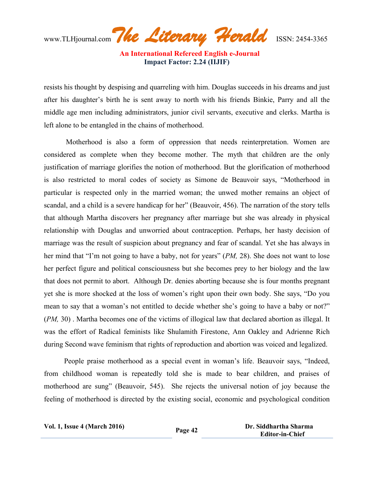www.TLHjournal.com*The Literary Herald*ISSN: 2454-3365

resists his thought by despising and quarreling with him. Douglas succeeds in his dreams and just after his daughter's birth he is sent away to north with his friends Binkie, Parry and all the middle age men including administrators, junior civil servants, executive and clerks. Martha is left alone to be entangled in the chains of motherhood.

 Motherhood is also a form of oppression that needs reinterpretation. Women are considered as complete when they become mother. The myth that children are the only justification of marriage glorifies the notion of motherhood. But the glorification of motherhood is also restricted to moral codes of society as Simone de Beauvoir says, "Motherhood in particular is respected only in the married woman; the unwed mother remains an object of scandal, and a child is a severe handicap for her" (Beauvoir, 456). The narration of the story tells that although Martha discovers her pregnancy after marriage but she was already in physical relationship with Douglas and unworried about contraception. Perhaps, her hasty decision of marriage was the result of suspicion about pregnancy and fear of scandal. Yet she has always in her mind that "I'm not going to have a baby, not for years" (*PM,* 28). She does not want to lose her perfect figure and political consciousness but she becomes prey to her biology and the law that does not permit to abort. Although Dr. denies aborting because she is four months pregnant yet she is more shocked at the loss of women's right upon their own body. She says, "Do you mean to say that a woman's not entitled to decide whether she's going to have a baby or not?" (*PM,* 30) . Martha becomes one of the victims of illogical law that declared abortion as illegal. It was the effort of Radical feminists like Shulamith Firestone, Ann Oakley and Adrienne Rich during Second wave feminism that rights of reproduction and abortion was voiced and legalized.

 People praise motherhood as a special event in woman's life. Beauvoir says, "Indeed, from childhood woman is repeatedly told she is made to bear children, and praises of motherhood are sung" (Beauvoir, 545). She rejects the universal notion of joy because the feeling of motherhood is directed by the existing social, economic and psychological condition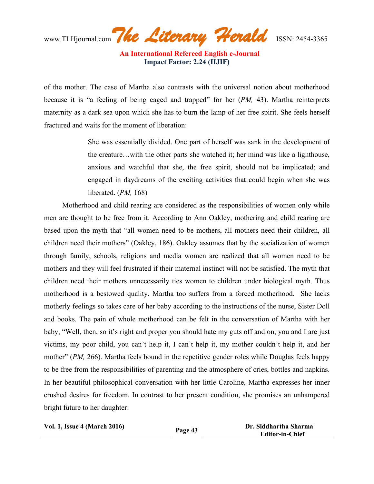www.TLHjournal.com*The Literary Herald*ISSN: 2454-3365

 **An International Refereed English e-Journal Impact Factor: 2.24 (IIJIF)**

of the mother. The case of Martha also contrasts with the universal notion about motherhood because it is "a feeling of being caged and trapped" for her (*PM,* 43). Martha reinterprets maternity as a dark sea upon which she has to burn the lamp of her free spirit. She feels herself fractured and waits for the moment of liberation:

> She was essentially divided. One part of herself was sank in the development of the creature…with the other parts she watched it; her mind was like a lighthouse, anxious and watchful that she, the free spirit, should not be implicated; and engaged in daydreams of the exciting activities that could begin when she was liberated. (*PM,* 168)

 Motherhood and child rearing are considered as the responsibilities of women only while men are thought to be free from it. According to Ann Oakley, mothering and child rearing are based upon the myth that "all women need to be mothers, all mothers need their children, all children need their mothers" (Oakley, 186). Oakley assumes that by the socialization of women through family, schools, religions and media women are realized that all women need to be mothers and they will feel frustrated if their maternal instinct will not be satisfied. The myth that children need their mothers unnecessarily ties women to children under biological myth. Thus motherhood is a bestowed quality. Martha too suffers from a forced motherhood. She lacks motherly feelings so takes care of her baby according to the instructions of the nurse, Sister Doll and books. The pain of whole motherhood can be felt in the conversation of Martha with her baby, "Well, then, so it's right and proper you should hate my guts off and on, you and I are just victims, my poor child, you can't help it, I can't help it, my mother couldn't help it, and her mother" (*PM,* 266). Martha feels bound in the repetitive gender roles while Douglas feels happy to be free from the responsibilities of parenting and the atmosphere of cries, bottles and napkins. In her beautiful philosophical conversation with her little Caroline, Martha expresses her inner crushed desires for freedom. In contrast to her present condition, she promises an unhampered bright future to her daughter:

**Vol. 1, Issue <sup>4</sup> (March 2016) Page <sup>43</sup> Dr. Siddhartha Sharma Editor-in-Chief**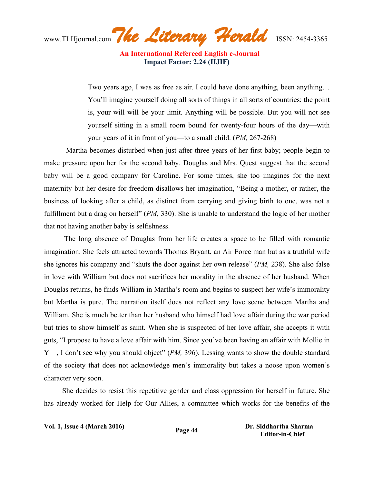www.TLHjournal.com*The Literary Herald*ISSN: 2454-3365

Two years ago, I was as free as air. I could have done anything, been anything… You'll imagine yourself doing all sorts of things in all sorts of countries; the point is, your will will be your limit. Anything will be possible. But you will not see yourself sitting in a small room bound for twenty-four hours of the day—with your years of it in front of you—to a small child. (*PM,* 267-268)

 Martha becomes disturbed when just after three years of her first baby; people begin to make pressure upon her for the second baby. Douglas and Mrs. Quest suggest that the second baby will be a good company for Caroline. For some times, she too imagines for the next maternity but her desire for freedom disallows her imagination, "Being a mother, or rather, the business of looking after a child, as distinct from carrying and giving birth to one, was not a fulfillment but a drag on herself" (*PM,* 330). She is unable to understand the logic of her mother that not having another baby is selfishness.

 The long absence of Douglas from her life creates a space to be filled with romantic imagination. She feels attracted towards Thomas Bryant, an Air Force man but as a truthful wife she ignores his company and "shuts the door against her own release" (*PM,* 238). She also false in love with William but does not sacrifices her morality in the absence of her husband. When Douglas returns, he finds William in Martha's room and begins to suspect her wife's immorality but Martha is pure. The narration itself does not reflect any love scene between Martha and William. She is much better than her husband who himself had love affair during the war period but tries to show himself as saint. When she is suspected of her love affair, she accepts it with guts, "I propose to have a love affair with him. Since you've been having an affair with Mollie in Y—, I don't see why you should object" (*PM,* 396). Lessing wants to show the double standard of the society that does not acknowledge men's immorality but takes a noose upon women's character very soon.

 She decides to resist this repetitive gender and class oppression for herself in future. She has already worked for Help for Our Allies, a committee which works for the benefits of the

| <b>Vol. 1, Issue 4 (March 2016)</b> | Page 44 | Dr. Siddhartha Sharma  |
|-------------------------------------|---------|------------------------|
|                                     |         | <b>Editor-in-Chief</b> |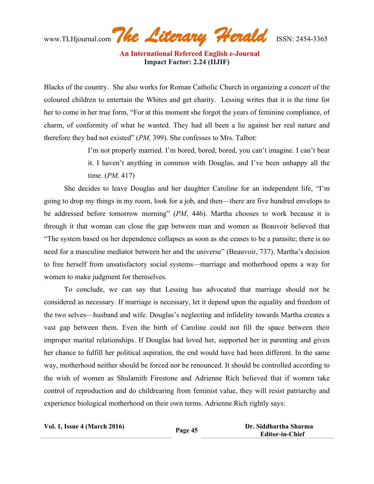www.TLHjournal.com*The Literary Herald*ISSN: 2454-3365

Blacks of the country. She also works for Roman Catholic Church in organizing a concert of the coloured children to entertain the Whites and get charity. Lessing writes that it is the time for her to come in her true form, "For at this moment she forgot the years of feminine compliance, of charm, of conformity of what he wanted. They had all been a lie against her real nature and therefore they had not existed" (*PM,* 399). She confesses to Mrs. Talbot:

> I'm not properly married. I'm bored, bored, bored, you can't imagine. I can't bear it. I haven't anything in common with Douglas, and I've been unhappy all the time. (*PM,* 417)

 She decides to leave Douglas and her daughter Caroline for an independent life, "I'm going to drop my things in my room, look for a job, and then—there are five hundred envelops to be addressed before tomorrow morning" (*PM*, 446). Martha chooses to work because it is through it that woman can close the gap between man and women as Beauvoir believed that "The system based on her dependence collapses as soon as she ceases to be a parasite; there is no need for a masculine mediator between her and the universe" (Beauvoir, 737). Martha's decision to free herself from unsatisfactory social systems—marriage and motherhood opens a way for women to make judgment for themselves.

 To conclude, we can say that Lessing has advocated that marriage should not be considered as necessary. If marriage is necessary, let it depend upon the equality and freedom of the two selves—husband and wife. Douglas's neglecting and infidelity towards Martha creates a vast gap between them. Even the birth of Caroline could not fill the space between their improper marital relationships. If Douglas had loved her, supported her in parenting and given her chance to fulfill her political aspiration, the end would have had been different. In the same way, motherhood neither should be forced nor be renounced. It should be controlled according to the wish of women as Shulamith Firestone and Adrienne Rich believed that if women take control of reproduction and do childrearing from feminist value, they will resist patriarchy and experience biological motherhood on their own terms. Adrienne Rich rightly says:

| <b>Vol. 1, Issue 4 (March 2016)</b> | Page 45 | Dr. Siddhartha Sharma  |
|-------------------------------------|---------|------------------------|
|                                     |         | <b>Editor-in-Chief</b> |